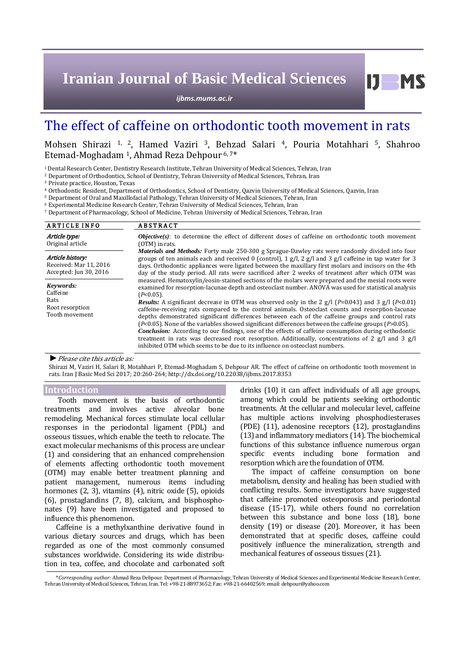# **Iranian Journal of Basic Medical Sciences**

*ijbms.mums.ac.ir*

## The effect of caffeine on orthodontic tooth movement in rats

### Mohsen Shirazi 1, 2, Hamed Vaziri 3, Behzad Salari 4, Pouria Motahhari 5, Shahroo Etemad-Moghadam 1, Ahmad Reza Dehpour 6, 7\*

<sup>1</sup>Dental Research Center, Dentistry Research Institute, Tehran University of Medical Sciences, Tehran, Iran

<sup>2</sup> Department of Orthodontics, School of Dentistry, Tehran University of Medical Sciences, Tehran, Iran

<sup>3</sup> Private practice, Houston, Texas

<sup>4</sup> Orthodontic Resident, Department of Orthodontics, School of Dentistry, Qazvin University of Medical Sciences, Qazvin, Iran

<sup>5</sup> Department of Oral and Maxillofacial Pathology, Tehran University of Medical Sciences, Tehran, Iran

<sup>6</sup> Experimental Medicine Research Center, Tehran University of Medical Sciences, Tehran, Iran

<sup>7</sup> Department of Pharmacology, School of Medicine, Tehran University of Medical Sciences, Tehran, Iran

| <b>ARTICLE INFO</b>                                                  | <b>ABSTRACT</b>                                                                                                                                                                                                                                                                                                                                                                                                                                                                                                                                                                                                                                                                                                                                                                                                                                                                                                                                                              |  |  |
|----------------------------------------------------------------------|------------------------------------------------------------------------------------------------------------------------------------------------------------------------------------------------------------------------------------------------------------------------------------------------------------------------------------------------------------------------------------------------------------------------------------------------------------------------------------------------------------------------------------------------------------------------------------------------------------------------------------------------------------------------------------------------------------------------------------------------------------------------------------------------------------------------------------------------------------------------------------------------------------------------------------------------------------------------------|--|--|
| Article type:<br>Original article                                    | <b><i>Objective(s)</i></b> : to determine the effect of different doses of caffeine on orthodontic tooth movement<br>(OTM) in rats.                                                                                                                                                                                                                                                                                                                                                                                                                                                                                                                                                                                                                                                                                                                                                                                                                                          |  |  |
| Article history:<br>Received: Mar 11, 2016<br>Accepted: Jun 30, 2016 | Materials and Methods: Forty male 250-300 g Sprague-Dawley rats were randomly divided into four<br>groups of ten animals each and received 0 (control), 1 $g/l$ , 2 $g/l$ and 3 $g/l$ caffeine in tap water for 3<br>days. Orthodontic appliances were ligated between the maxillary first molars and incisors on the 4th<br>day of the study period. All rats were sacrificed after 2 weeks of treatment after which OTM was                                                                                                                                                                                                                                                                                                                                                                                                                                                                                                                                                |  |  |
| Keywords:<br>Caffeine<br>Rats.<br>Root resorption<br>Tooth movement  | measured. Hematoxylin/eosin-stained sections of the molars were prepared and the mesial roots were<br>examined for resorption-lacunae depth and osteoclast number. ANOVA was used for statistical analysis<br>$(P<0.05)$ .<br><b>Results:</b> A significant decrease in OTM was observed only in the 2 g/l ( $P=0.043$ ) and 3 g/l ( $P<0.01$ )<br>caffeine-receiving rats compared to the control animals. Osteoclast counts and resorption-lacunae<br>depths demonstrated significant differences between each of the caffeine groups and control rats<br>$(P<0.05)$ . None of the variables showed significant differences between the caffeine groups $(P>0.05)$ .<br><b>Conclusion:</b> According to our findings, one of the effects of caffeine consumption during orthodontic<br>treatment in rats was decreased root resorption. Additionally, concentrations of 2 $g/l$ and 3 $g/l$<br>inhibited OTM which seems to be due to its influence on osteoclast numbers. |  |  |

#### *►*Please cite this article as:

Shirazi M, Vaziri H, Salari B, Motahhari P, Etemad-Moghadam S, Dehpour AR. The effect of caffeine on orthodontic tooth movement in rats. Iran J Basic Med Sci 2017; 20:260-264[; http://dx.doi.org/10.22038/ijbms.2017.8353](http://dx.doi.org/10.22038/ijbms.2017.8353)

#### **Introduction**

Tooth movement is the basis of orthodontic treatments and involves active alveolar bone remodeling. Mechanical forces stimulate local cellular responses in the periodontal ligament (PDL) and osseous tissues, which enable the teeth to relocate. The exact molecular mechanisms of this process are unclear (1) and considering that an enhanced comprehension of elements affecting orthodontic tooth movement (OTM) may enable better treatment planning and patient management, numerous items including hormones (2, 3), vitamins (4), nitric oxide (5), opioids (6), prostaglandins (7, 8), calcium, and bisphosphonates (9) have been investigated and proposed to influence this phenomenon.

Caffeine is a methylxanthine derivative found in various dietary sources and drugs, which has been regarded as one of the most commonly consumed substances worldwide. Considering its wide distribution in tea, coffee, and chocolate and carbonated soft drinks (10) it can affect individuals of all age groups, among which could be patients seeking orthodontic treatments. At the cellular and molecular level, caffeine has multiple actions involving phosphodiesterases (PDE) (11), adenosine receptors (12), prostaglandins (13)and inflammatory mediators (14). The biochemical functions of this substance influence numerous organ specific events including bone formation and resorption which are the foundation of OTM.

The impact of caffeine consumption on bone metabolism, density and healing has been studied with conflicting results. Some investigators have suggested that caffeine promoted osteoporosis and periodontal disease (15-17), while others found no correlation between this substance and bone loss (18), bone density (19) or disease (20). Moreover, it has been demonstrated that at specific doses, caffeine could positively influence the mineralization, strength and mechanical features of osseous tissues (21).

<sup>\*</sup>*Corresponding author:* Ahmad Reza Dehpour. Department of Pharmacology, Tehran University of Medical Sciences and Experimental Medicine Research Center, Tehran University of Medical Sciences, Tehran, Iran. Tel: +98-21-88973652; Fax: +98-21-66402569; email[: dehpour@yahoo.com](mailto:dehpour@yahoo.com)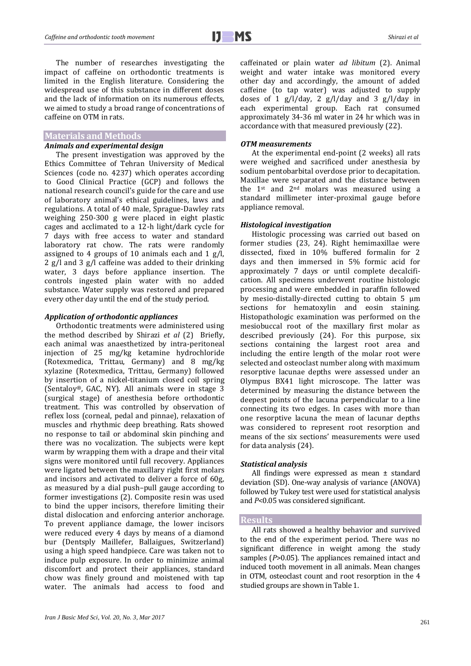The number of researches investigating the impact of caffeine on orthodontic treatments is limited in the English literature. Considering the widespread use of this substance in different doses and the lack of information on its numerous effects, we aimed to study a broad range of concentrations of caffeine on OTM in rats.

#### **Materials and Methods**

#### *Animals and experimental design*

The present investigation was approved by the Ethics Committee of Tehran University of Medical Sciences (code no. 4237) which operates according to Good Clinical Practice (GCP) and follows the national research council's guide for the care and use of laboratory animal's ethical guidelines, laws and regulations. A total of 40 male, Sprague-Dawley rats weighing 250-300 g were placed in eight plastic cages and acclimated to a 12-h light/dark cycle for 7 days with free access to water and standard laboratory rat chow. The rats were randomly assigned to 4 groups of 10 animals each and 1 g/l, 2 g/l and 3 g/l caffeine was added to their drinking water, 3 days before appliance insertion. The controls ingested plain water with no added substance. Water supply was restored and prepared every other day until the end of the study period.

#### *Application of orthodontic appliances*

Orthodontic treatments were administered using the method described by Shirazi *et al* (2) Briefly, each animal was anaesthetized by intra-peritoneal injection of 25 mg/kg ketamine hydrochloride (Rotexmedica, Trittau, Germany) and 8 mg/kg xylazine (Rotexmedica, Trittau, Germany) followed by insertion of a nickel-titanium closed coil spring (Sentaloy®, GAC, NY). All animals were in stage 3 (surgical stage) of anesthesia before orthodontic treatment. This was controlled by observation of reflex loss (corneal, pedal and pinnae), relaxation of muscles and rhythmic deep breathing. Rats showed no response to tail or abdominal skin pinching and there was no vocalization. The subjects were kept warm by wrapping them with a drape and their vital signs were monitored until full recovery. Appliances were ligated between the maxillary right first molars and incisors and activated to deliver a force of 60g, as measured by a dial push–pull gauge according to former investigations (2). Composite resin was used to bind the upper incisors, therefore limiting their distal dislocation and enforcing anterior anchorage. To prevent appliance damage, the lower incisors were reduced every 4 days by means of a diamond bur (Dentsply Maillefer, Ballaigues, Switzerland) using a high speed handpiece. Care was taken not to induce pulp exposure. In order to minimize animal discomfort and protect their appliances, standard chow was finely ground and moistened with tap water. The animals had access to food and caffeinated or plain water *ad libitum* (2). Animal weight and water intake was monitored every other day and accordingly, the amount of added caffeine (to tap water) was adjusted to supply doses of 1 g/l/day, 2 g/l/day and 3 g/l/day in each experimental group. Each rat consumed approximately 34-36 ml water in 24 hr which was in accordance with that measured previously (22).

#### *OTM measurements*

At the experimental end-point (2 weeks) all rats were weighed and sacrificed under anesthesia by sodium pentobarbital overdose prior to decapitation. Maxillae were separated and the distance between the 1st and 2nd molars was measured using a standard millimeter inter-proximal gauge before appliance removal.

#### *Histological investigation*

Histologic processing was carried out based on former studies (23, 24). Right hemimaxillae were dissected, fixed in 10% buffered formalin for 2 days and then immersed in 5% formic acid for approximately 7 days or until complete decalcification. All specimens underwent routine histologic processing and were embedded in paraffin followed by mesio-distally-directed cutting to obtain 5 μm sections for hematoxylin and eosin staining. Histopathologic examination was performed on the mesiobuccal root of the maxillary first molar as described previously (24). For this purpose, six sections containing the largest root area and including the entire length of the molar root were selected and osteoclast number along with maximum resorptive lacunae depths were assessed under an Olympus BX41 light microscope. The latter was determined by measuring the distance between the deepest points of the lacuna perpendicular to a line connecting its two edges. In cases with more than one resorptive lacuna the mean of lacunar depths was considered to represent root resorption and means of the six sections' measurements were used for data analysis (24).

#### *Statistical analysis*

All findings were expressed as mean ± standard deviation (SD). One-way analysis of variance (ANOVA) followed by Tukey test were used for statistical analysis and *P*<0.05 was considered significant.

#### **Results**

All rats showed a healthy behavior and survived to the end of the experiment period. There was no significant difference in weight among the study samples ( $P > 0.05$ ). The appliances remained intact and induced tooth movement in all animals. Mean changes in OTM, osteoclast count and root resorption in the 4 studied groups are shown in Table 1.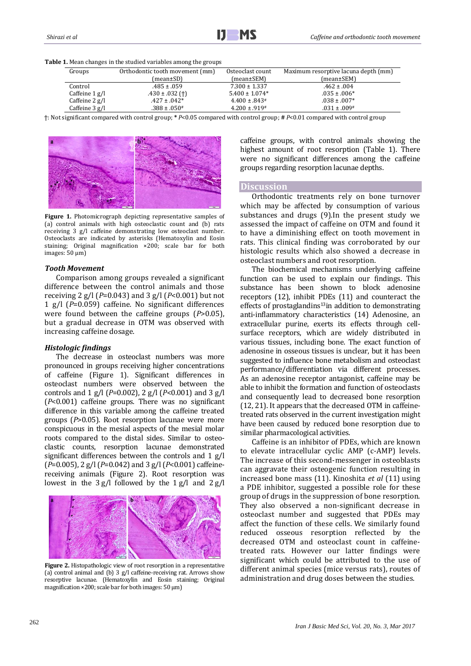|  |  |  |  | <b>Table 1.</b> Mean changes in the studied variables among the groups |
|--|--|--|--|------------------------------------------------------------------------|
|--|--|--|--|------------------------------------------------------------------------|

| Groups             | Orthodontic tooth movement (mm) | Osteoclast count   | Maximum resorptive lacuna depth (mm) |
|--------------------|---------------------------------|--------------------|--------------------------------------|
|                    | (mean±SD)                       | (mean±SEM)         | $(mean \pm SEM)$                     |
| Control            | $.485 \pm .059$                 | $7.300 \pm 1.337$  | $.462 \pm .004$                      |
| Caffeine $1 g/l$   | $.430 \pm .032$ (†)             | $5.400 \pm 1.074*$ | $.035 \pm .006*$                     |
| Caffeine $2$ $g/l$ | $.427 \pm .042*$                | $4.400 \pm .843$ # | $.038 \pm .007*$                     |
| Caffeine $3$ g/l   | $.388 \pm .050^*$               | $4.200 \pm .919$   | $.031 \pm .009$ #                    |

ϯ: Not significant compared with control group; **\*** *P*<0.05 compared with control group; **#** *P*<0.01 compared with control group



**Figure 1.** Photomicrograph depicting representative samples of (a) control animals with high osteoclastic count and (b) rats receiving 3 g/l caffeine demonstrating low osteoclast number. Osteoclasts are indicated by asterisks (Hematoxylin and Eosin staining; Original magnification ×200; scale bar for both images: 50 μm)

#### *Tooth Movement*

Comparison among groups revealed a significant difference between the control animals and those receiving 2 g/l (*P*=0.043) and 3 g/l (*P*<0.001) but not 1 g/l (*P*=0.059) caffeine. No significant differences were found between the caffeine groups (*P*>0.05), but a gradual decrease in OTM was observed with increasing caffeine dosage.

#### *Histologic findings*

The decrease in osteoclast numbers was more pronounced in groups receiving higher concentrations of caffeine (Figure 1). Significant differences in osteoclast numbers were observed between the controls and 1 g/l (*P*=0.002), 2 g/l (*P*<0.001) and 3 g/l (*P*<0.001) caffeine groups. There was no significant difference in this variable among the caffeine treated groups (*P*>0.05). Root resorption lacunae were more conspicuous in the mesial aspects of the mesial molar roots compared to the distal sides. Similar to osteoclastic counts, resorption lacunae demonstrated significant differences between the controls and 1 g/l (*P*=0.005), 2 g/l (*P*=0.042) and 3 g/l (*P*<0.001) caffeinereceiving animals (Figure 2). Root resorption was lowest in the 3 g/l followed by the 1 g/l and 2 g/l



**Figure 2.** Histopathologic view of root resorption in a representative (a) control animal and (b) 3 g/l caffeine-receiving rat. Arrows show resorptive lacunae. (Hematoxylin and Eosin staining; Original magnification ×200; scale bar for both images: 50 μm)

caffeine groups, with control animals showing the highest amount of root resorption (Table 1). There were no significant differences among the caffeine groups regarding resorption lacunae depths.

#### **Discussion**

Orthodontic treatments rely on bone turnover which may be affected by consumption of various substances and drugs (9).In the present study we assessed the impact of caffeine on OTM and found it to have a diminishing effect on tooth movement in rats. This clinical finding was corroborated by our histologic results which also showed a decrease in osteoclast numbers and root resorption.

The biochemical mechanisms underlying caffeine function can be used to explain our findings. This substance has been shown to block adenosine receptors (12), inhibit PDEs (11) and counteract the effects of prostaglandins<sup>13</sup>in addition to demonstrating anti-inflammatory characteristics (14) Adenosine, an extracellular purine, exerts its effects through cellsurface receptors, which are widely distributed in various tissues, including bone. The exact function of adenosine in osseous tissues is unclear, but it has been suggested to influence bone metabolism and osteoclast performance/differentiation via different processes. As an adenosine receptor antagonist, caffeine may be able to inhibit the formation and function of osteoclasts and consequently lead to decreased bone resorption (12, 21). It appears that the decreased OTM in caffeinetreated rats observed in the current investigation might have been caused by reduced bone resorption due to similar pharmacological activities.

Caffeine is an inhibitor of PDEs, which are known to elevate intracellular cyclic AMP (c-AMP) levels. The increase of this second-messenger in osteoblasts can aggravate their osteogenic function resulting in increased bone mass (11). Kinoshita *et al* (11) using a PDE inhibitor, suggested a possible role for these group of drugs in the suppression of bone resorption. They also observed a non-significant decrease in osteoclast number and suggested that PDEs may affect the function of these cells. We similarly found reduced osseous resorption reflected by the decreased OTM and osteoclast count in caffeinetreated rats. However our latter findings were significant which could be attributed to the use of different animal species (mice versus rats), routes of administration and drug doses between the studies.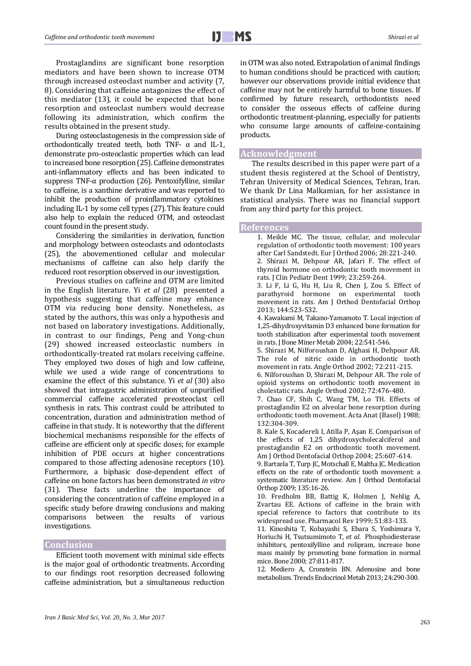Prostaglandins are significant bone resorption mediators and have been shown to increase OTM through increased osteoclast number and activity (7, 8). Considering that caffeine antagonizes the effect of this mediator (13), it could be expected that bone resorption and osteoclast numbers would decrease following its administration, which confirm the results obtained in the present study.

During osteoclastogenesis in the compression side of orthodontically treated teeth, both TNF-  $\alpha$  and IL-1, demonstrate pro-osteoclastic properties which can lead to increased bone resorption (25). Caffeine demonstrates anti-inflammatory effects and has been indicated to suppress TNF-α production (26). Pentoxifylline, similar to caffeine, is a xanthine derivative and was reported to inhibit the production of proinflammatory cytokines including IL-1 by some cell types (27).This feature could also help to explain the reduced OTM, and osteoclast count found in the present study.

Considering the similarities in derivation, function and morphology between osteoclasts and odontoclasts (25), the abovementioned cellular and molecular mechanisms of caffeine can also help clarify the reduced root resorption observed in our investigation.

Previous studies on caffeine and OTM are limited in the English literature. Yi *et al* (28) presented a hypothesis suggesting that caffeine may enhance OTM via reducing bone density. Nonetheless, as stated by the authors, this was only a hypothesis and not based on laboratory investigations. Additionally, in contrast to our findings, Peng and Yong-chun (29) showed increased osteoclastic numbers in orthodontically-treated rat molars receiving caffeine. They employed two doses of high and low caffeine, while we used a wide range of concentrations to examine the effect of this substance. Yi *et al* (30) also showed that intragastric administration of unpurified commercial caffeine accelerated preosteoclast cell synthesis in rats. This contrast could be attributed to concentration, duration and administration method of caffeine in that study. It is noteworthy that the different biochemical mechanisms responsible for the effects of caffeine are efficient only at specific doses; for example inhibition of PDE occurs at higher concentrations compared to those affecting adenosine receptors (10). Furthermore, a biphasic dose-dependent effect of caffeine on bone factors has been demonstrated *in vitro* (31). These facts underline the importance of considering the concentration of caffeine employed in a specific study before drawing conclusions and making comparisons between the results of various investigations.

#### **Conclusion**

Efficient tooth movement with minimal side effects is the major goal of orthodontic treatments. According to our findings root resorption decreased following caffeine administration, but a simultaneous reduction in OTM was also noted. Extrapolation of animal findings to human conditions should be practiced with caution; however our observations provide initial evidence that caffeine may not be entirely harmful to bone tissues. If confirmed by future research, orthodontists need to consider the osseous effects of caffeine during orthodontic treatment-planning, especially for patients who consume large amounts of caffeine-containing products.

#### **Acknowledgment**

The results described in this paper were part of a student thesis registered at the School of Dentistry, Tehran University of Medical Sciences, Tehran, Iran. We thank Dr Lina Malkamian, for her assistance in statistical analysis. There was no financial support from any third party for this project.

#### **References**

1. Meikle MC. The tissue, cellular, and molecular regulation of orthodontic tooth movement: 100 years after Carl Sandstedt. Eur J Orthod 2006; 28:221-240. 2. Shirazi M, Dehpour AR, Jafari F. The effect of thyroid hormone on orthodontic tooth movement in rats. J Clin Pediatr Dent 1999; 23:259-264. 3. Li F, Li G, Hu H, Liu R, Chen J, Zou S. Effect of parathyroid hormone on experimental tooth movement in rats. Am J Orthod Dentofacial Orthop 2013; 144:523-532. 4. Kawakami M, Takano-Yamamoto T. Local injection of 1,25-dihydroxyvitamin D3 enhanced bone formation for tooth stabilization after experimental tooth movement in rats. J Bone Miner Metab 2004; 22:541-546. 5. Shirazi M, Nilforoushan D, Alghasi H, Dehpour AR. The role of nitric oxide in orthodontic tooth movement in rats. Angle Orthod 2002; 72:211-215. 6. Nilforoushan D, Shirazi M, Dehpour AR. The role of opioid systems on orthodontic tooth movement in cholestatic rats. Angle Orthod 2002; 72:476-480. 7. Chao CF, Shih C, Wang TM, Lo TH. Effects of prostaglandin E2 on alveolar bone resorption during orthodontic tooth movement. Acta Anat (Basel) 1988; 132:304-309. 8. Kale S, Kocadereli I, Atilla P, Aşan E. Comparison of the effects of 1,25 dihydroxycholecalciferol and prostaglandin E2 on orthodontic tooth movement. Am J Orthod Dentofacial Orthop 2004; 25:607-614. 9. Bartzela T, Turp JC, Motschall E, Maltha JC. Medication effects on the rate of orthodontic tooth movement: a systematic literature review. Am J Orthod Dentofacial Orthop 2009; 135:16-26. 10. Fredholm BB, Battig K, Holmen J, Nehlig A, Zvartau EE. Actions of caffeine in the brain with special reference to factors that contribute to its widespread use. Pharmacol Rev 1999; 51:83-133. 11. Kinoshita T, Kobayashi S, Ebara S, Yoshimura Y, Horiuchi H, Tsutsumimoto T, *et al*. Phosphodiesterase

inhibitors, pentoxifylline and rolipram, increase bone mass mainly by promoting bone formation in normal mice. Bone 2000; 27:811-817.

12. Mediero A, Cronstein BN. Adenosine and bone metabolism. Trends Endocrinol Metab 2013; 24:290-300.